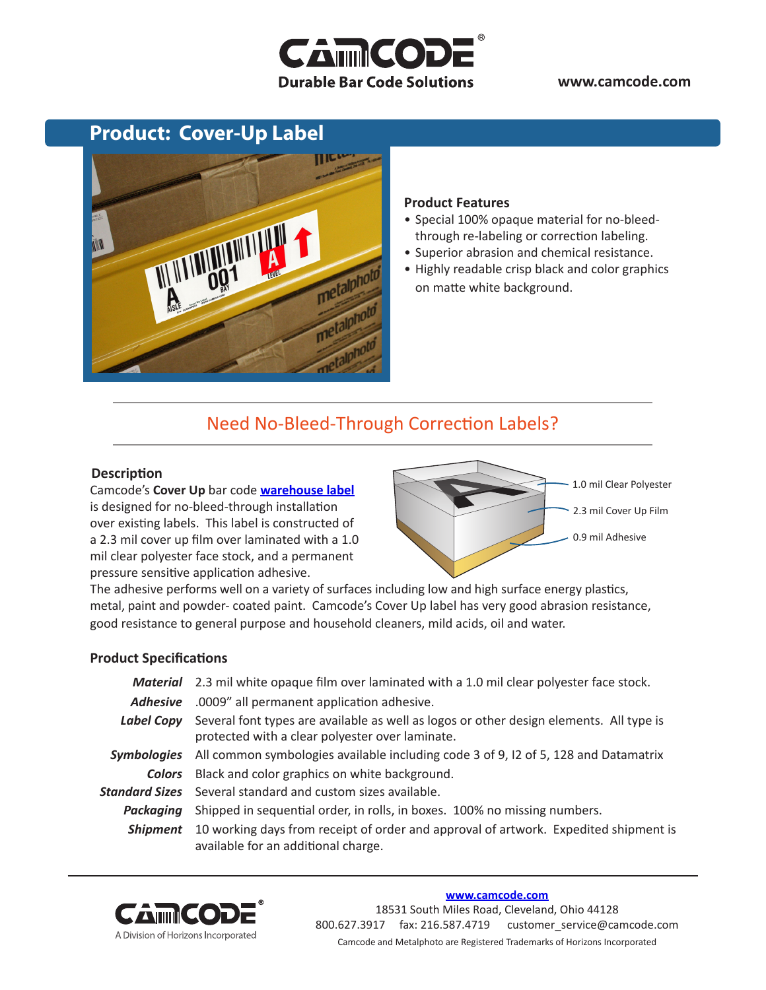# **CAMMCOD Durable Bar Code Solutions**

### **www.camcode.com**

### **Product: Cover-Up Label**



#### **Product Features**

- Special 100% opaque material for no-bleedthrough re-labeling or correction labeling.
- Superior abrasion and chemical resistance.
- Highly readable crisp black and color graphics on matte white background.

### Need No-Bleed-Through Correction Labels?

### **Description**

Camcode's **Cover Up** bar code **[warehouse label](http://www.camcode.com/warehouse-labels.html)** is designed for no-bleed-through installation over existing labels. This label is constructed of a 2.3 mil cover up film over laminated with a 1.0 mil clear polyester face stock, and a permanent pressure sensitive application adhesive.



The adhesive performs well on a variety of surfaces including low and high surface energy plastics, metal, paint and powder- coated paint. Camcode's Cover Up label has very good abrasion resistance, good resistance to general purpose and household cleaners, mild acids, oil and water.

### **Product Specifications**

|                    | Material 2.3 mil white opaque film over laminated with a 1.0 mil clear polyester face stock.                                               |  |
|--------------------|--------------------------------------------------------------------------------------------------------------------------------------------|--|
| <b>Adhesive</b>    | .0009" all permanent application adhesive.                                                                                                 |  |
| Label Copy         | Several font types are available as well as logos or other design elements. All type is<br>protected with a clear polyester over laminate. |  |
| <b>Symbologies</b> | All common symbologies available including code 3 of 9, I2 of 5, 128 and Datamatrix                                                        |  |
|                    | <b>Colors</b> Black and color graphics on white background.                                                                                |  |
|                    | <b>Standard Sizes</b> Several standard and custom sizes available.                                                                         |  |
| Packaaina          | Shipped in sequential order, in rolls, in boxes. 100% no missing numbers.                                                                  |  |
| <b>Shipment</b>    | 10 working days from receipt of order and approval of artwork. Expedited shipment is<br>available for an additional charge.                |  |



#### **[www.camcode.com](http://www.camcode.com)**

18531 South Miles Road, Cleveland, Ohio 44128 800.627.3917 fax: 216.587.4719 customer\_service@camcode.com Camcode and Metalphoto are Registered Trademarks of Horizons Incorporated